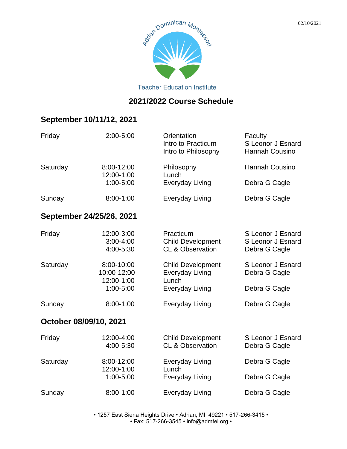

**Teacher Education Institute** 

#### **2021/2022 Course Schedule**

## **September 10/11/12, 2021**

| Friday                 | 2:00-5:00                                | Orientation<br>Intro to Practicum<br>Intro to Philosophy             | Faculty<br>S Leonor J Esnard<br>Hannah Cousino          |
|------------------------|------------------------------------------|----------------------------------------------------------------------|---------------------------------------------------------|
| Saturday               | 8:00-12:00<br>12:00-1:00                 | Philosophy<br>Lunch                                                  | <b>Hannah Cousino</b>                                   |
|                        | 1:00-5:00                                | <b>Everyday Living</b>                                               | Debra G Cagle                                           |
| Sunday                 | 8:00-1:00                                | Everyday Living                                                      | Debra G Cagle                                           |
|                        | September 24/25/26, 2021                 |                                                                      |                                                         |
| Friday                 | 12:00-3:00<br>$3:00 - 4:00$<br>4:00-5:30 | Practicum<br><b>Child Development</b><br><b>CL &amp; Observation</b> | S Leonor J Esnard<br>S Leonor J Esnard<br>Debra G Cagle |
| Saturday               | 8:00-10:00<br>10:00-12:00<br>12:00-1:00  | <b>Child Development</b><br><b>Everyday Living</b><br>Lunch          | S Leonor J Esnard<br>Debra G Cagle                      |
|                        | 1:00-5:00                                | <b>Everyday Living</b>                                               | Debra G Cagle                                           |
| Sunday                 | 8:00-1:00                                | <b>Everyday Living</b>                                               | Debra G Cagle                                           |
| October 08/09/10, 2021 |                                          |                                                                      |                                                         |
| Friday                 | 12:00-4:00<br>4:00-5:30                  | <b>Child Development</b><br><b>CL &amp; Observation</b>              | S Leonor J Esnard<br>Debra G Cagle                      |
| Saturday               | 8:00-12:00<br>12:00-1:00                 | <b>Everyday Living</b><br>Lunch                                      | Debra G Cagle                                           |
|                        | 1:00-5:00                                | Everyday Living                                                      | Debra G Cagle                                           |
| Sunday                 | $8:00-1:00$                              | Everyday Living                                                      | Debra G Cagle                                           |

• 1257 East Siena Heights Drive • Adrian, MI 49221 • 517-266-3415 • • Fax: 517-266-3545 • info@admtei.org •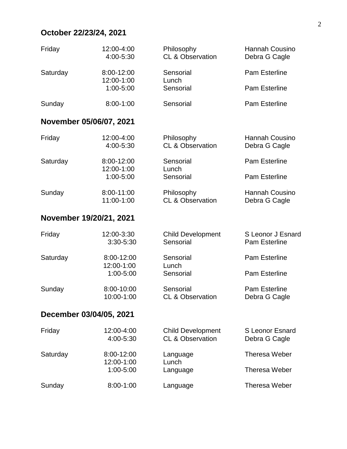## **October 22/23/24, 2021**

| Friday                  | 12:00-4:00<br>4:00-5:30  | Philosophy<br><b>CL &amp; Observation</b>               | Hannah Cousino<br>Debra G Cagle           |
|-------------------------|--------------------------|---------------------------------------------------------|-------------------------------------------|
| Saturday                | 8:00-12:00<br>12:00-1:00 | Sensorial<br>Lunch                                      | <b>Pam Esterline</b>                      |
|                         | 1:00-5:00                | Sensorial                                               | Pam Esterline                             |
| Sunday                  | $8:00 - 1:00$            | Sensorial                                               | Pam Esterline                             |
| November 05/06/07, 2021 |                          |                                                         |                                           |
| Friday                  | 12:00-4:00<br>4:00-5:30  | Philosophy<br><b>CL &amp; Observation</b>               | <b>Hannah Cousino</b><br>Debra G Cagle    |
| Saturday                | 8:00-12:00               | Sensorial                                               | <b>Pam Esterline</b>                      |
|                         | 12:00-1:00<br>1:00-5:00  | Lunch<br>Sensorial                                      | Pam Esterline                             |
| Sunday                  | 8:00-11:00<br>11:00-1:00 | Philosophy<br><b>CL &amp; Observation</b>               | <b>Hannah Cousino</b><br>Debra G Cagle    |
| November 19/20/21, 2021 |                          |                                                         |                                           |
| Friday                  | 12:00-3:30<br>3:30-5:30  | <b>Child Development</b><br>Sensorial                   | S Leonor J Esnard<br><b>Pam Esterline</b> |
| Saturday                | 8:00-12:00<br>12:00-1:00 | Sensorial<br>Lunch                                      | Pam Esterline                             |
|                         | 1:00-5:00                | Sensorial                                               | <b>Pam Esterline</b>                      |
| Sunday                  | 8:00-10:00<br>10:00-1:00 | Sensorial<br><b>CL &amp; Observation</b>                | Pam Esterline<br>Debra G Cagle            |
| December 03/04/05, 2021 |                          |                                                         |                                           |
| Friday                  | 12:00-4:00<br>4:00-5:30  | <b>Child Development</b><br><b>CL &amp; Observation</b> | <b>S Leonor Esnard</b><br>Debra G Cagle   |
| Saturday                | 8:00-12:00<br>12:00-1:00 | Language                                                | <b>Theresa Weber</b>                      |
|                         | 1:00-5:00                | Lunch<br>Language                                       | <b>Theresa Weber</b>                      |
| Sunday                  | 8:00-1:00                | Language                                                | <b>Theresa Weber</b>                      |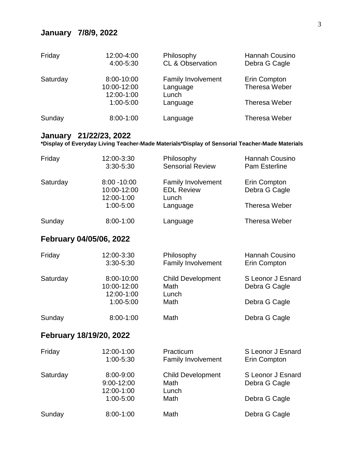#### **January 7/8/9, 2022**

| Friday   | 12:00-4:00<br>4:00-5:30                 | Philosophy<br><b>CL &amp; Observation</b>      | Hannah Cousino<br>Debra G Cagle      |
|----------|-----------------------------------------|------------------------------------------------|--------------------------------------|
| Saturday | 8:00-10:00<br>10:00-12:00<br>12:00-1:00 | <b>Family Involvement</b><br>Language<br>Lunch | Erin Compton<br><b>Theresa Weber</b> |
|          | $1:00 - 5:00$                           | Language                                       | <b>Theresa Weber</b>                 |
| Sunday   | 8:00-1:00                               | Language                                       | <b>Theresa Weber</b>                 |

#### **January 21/22/23, 2022**

**\*Display of Everyday Living Teacher-Made Materials\*Display of Sensorial Teacher-Made Materials**

| Friday                  | 12:00-3:30<br>3:30-5:30                                  | Philosophy<br><b>Sensorial Review</b>                               | <b>Hannah Cousino</b><br><b>Pam Esterline</b>       |
|-------------------------|----------------------------------------------------------|---------------------------------------------------------------------|-----------------------------------------------------|
| Saturday                | $8:00 - 10:00$<br>10:00-12:00<br>12:00-1:00<br>1:00-5:00 | <b>Family Involvement</b><br><b>EDL Review</b><br>Lunch<br>Language | Erin Compton<br>Debra G Cagle<br>Theresa Weber      |
| Sunday                  | $8:00 - 1:00$                                            | Language                                                            | <b>Theresa Weber</b>                                |
| February 04/05/06, 2022 |                                                          |                                                                     |                                                     |
| Friday                  | 12:00-3:30<br>3:30-5:30                                  | Philosophy<br><b>Family Involvement</b>                             | <b>Hannah Cousino</b><br>Erin Compton               |
| Saturday                | 8:00-10:00<br>10:00-12:00<br>12:00-1:00<br>1:00-5:00     | <b>Child Development</b><br>Math<br>Lunch<br>Math                   | S Leonor J Esnard<br>Debra G Cagle<br>Debra G Cagle |
| Sunday                  | 8:00-1:00                                                | Math                                                                | Debra G Cagle                                       |
| February 18/19/20, 2022 |                                                          |                                                                     |                                                     |

| Friday   | 12:00-1:00<br>$1:00 - 5:30$               | Practicum<br><b>Family Involvement</b>    | S Leonor J Esnard<br>Erin Compton  |
|----------|-------------------------------------------|-------------------------------------------|------------------------------------|
| Saturday | 8:00-9:00<br>$9:00 - 12:00$<br>12:00-1:00 | <b>Child Development</b><br>Math<br>Lunch | S Leonor J Esnard<br>Debra G Cagle |
|          | $1:00 - 5:00$                             | Math                                      | Debra G Cagle                      |
| Sunday   | $8:00 - 1:00$                             | Math                                      | Debra G Cagle                      |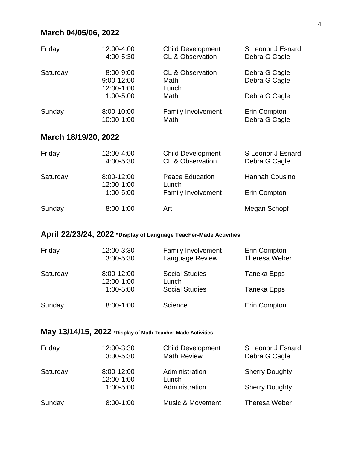## **March 04/05/06, 2022**

| Friday               | 12:00-4:00<br>4:00-5:30                            | <b>Child Development</b><br><b>CL &amp; Observation</b>      | S Leonor J Esnard<br>Debra G Cagle              |
|----------------------|----------------------------------------------------|--------------------------------------------------------------|-------------------------------------------------|
| Saturday             | 8:00-9:00<br>9:00-12:00<br>12:00-1:00<br>1:00-5:00 | <b>CL &amp; Observation</b><br>Math<br>Lunch<br>Math         | Debra G Cagle<br>Debra G Cagle<br>Debra G Cagle |
| Sunday               | 8:00-10:00<br>10:00-1:00                           | <b>Family Involvement</b><br>Math                            | Erin Compton<br>Debra G Cagle                   |
| March 18/19/20, 2022 |                                                    |                                                              |                                                 |
| Friday               | 12:00-4:00<br>4:00-5:30                            | <b>Child Development</b><br><b>CL &amp; Observation</b>      | S Leonor J Esnard<br>Debra G Cagle              |
| Saturday             | 8:00-12:00<br>12:00-1:00<br>1:00-5:00              | <b>Peace Education</b><br>Lunch<br><b>Family Involvement</b> | <b>Hannah Cousino</b><br>Erin Compton           |
| Sunday               | 8:00-1:00                                          | Art                                                          | Megan Schopf                                    |

#### **April 22/23/24, 2022 \*Display of Language Teacher-Made Activities**

| Friday   | 12:00-3:30<br>$3:30 - 5:30$ | <b>Family Involvement</b><br><b>Language Review</b> | Erin Compton<br>Theresa Weber |
|----------|-----------------------------|-----------------------------------------------------|-------------------------------|
| Saturday | 8:00-12:00<br>12:00-1:00    | <b>Social Studies</b><br>Lunch                      | Taneka Epps                   |
|          | $1:00 - 5:00$               | <b>Social Studies</b>                               | Taneka Epps                   |
| Sunday   | $8:00 - 1:00$               | Science                                             | Erin Compton                  |

#### **May 13/14/15, 2022 \*Display of Math Teacher-Made Activities**

| Friday   | 12:00-3:30<br>$3:30 - 5:30$ | <b>Child Development</b><br><b>Math Review</b> | S Leonor J Esnard<br>Debra G Cagle |
|----------|-----------------------------|------------------------------------------------|------------------------------------|
| Saturday | 8:00-12:00<br>12:00-1:00    | Administration<br>Lunch                        | <b>Sherry Doughty</b>              |
|          | $1:00 - 5:00$               | Administration                                 | <b>Sherry Doughty</b>              |
| Sunday   | $8:00 - 1:00$               | <b>Music &amp; Movement</b>                    | <b>Theresa Weber</b>               |